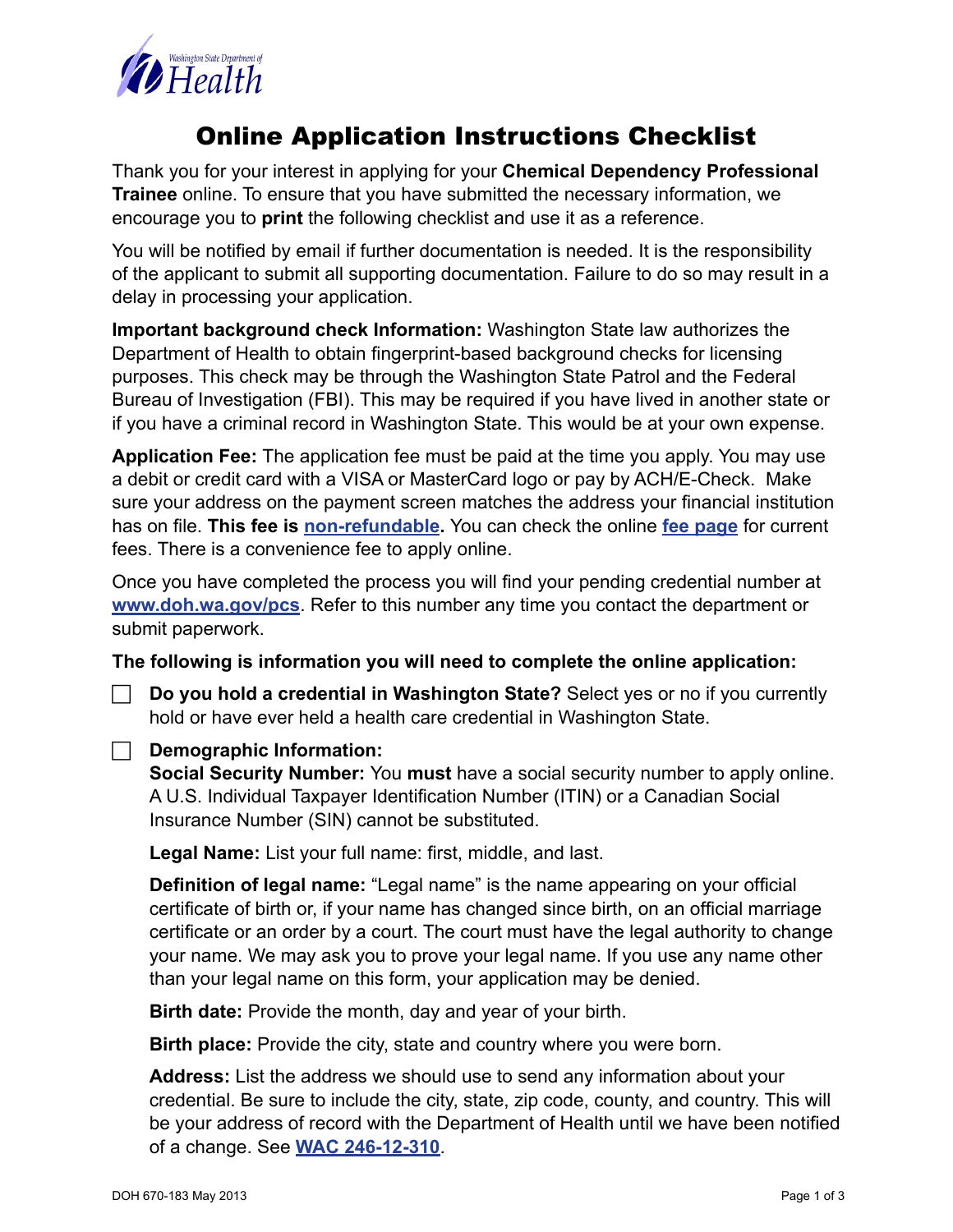

### Online Application Instructions Checklist

Thank you for your interest in applying for your **Chemical Dependency Professional Trainee** online. To ensure that you have submitted the necessary information, we encourage you to **print** the following checklist and use it as a reference.

You will be notified by email if further documentation is needed. It is the responsibility of the applicant to submit all supporting documentation. Failure to do so may result in a delay in processing your application.

**Important background check Information:** Washington State law authorizes the Department of Health to obtain fingerprint-based background checks for licensing purposes. This check may be through the Washington State Patrol and the Federal Bureau of Investigation (FBI). This may be required if you have lived in another state or if you have a criminal record in Washington State. This would be at your own expense.

**Application Fee:** The application fee must be paid at the time you apply. You may use a debit or credit card with a VISA or MasterCard logo or pay by ACH/E-Check. Make sure your address on the payment screen matches the address your financial institution has on file. **This fee is [non-refundable.](http://apps.leg.wa.gov/wac/default.aspx?cite=246-12-340)** You can check the online **[fee page](http://www.doh.wa.gov/LicensesPermitsandCertificates/ProfessionsNewReneworUpdate/ChemicalDependencyProfessional/Fees.aspx)** for current fees. There is a convenience fee to apply online.

Once you have completed the process you will find your pending credential number at **<www.doh.wa.gov/pcs>**. Refer to this number any time you contact the department or submit paperwork.

**The following is information you will need to complete the online application:**

F **Do you hold a credential in Washington State?** Select yes or no if you currently hold or have ever held a health care credential in Washington State.

#### F **Demographic Information:**

**Social Security Number:** You **must** have a social security number to apply online. A U.S. Individual Taxpayer Identification Number (ITIN) or a Canadian Social Insurance Number (SIN) cannot be substituted.

**Legal Name:** List your full name: first, middle, and last.

 **Definition of legal name:** "Legal name" is the name appearing on your official certificate of birth or, if your name has changed since birth, on an official marriage certificate or an order by a court. The court must have the legal authority to change your name. We may ask you to prove your legal name. If you use any name other than your legal name on this form, your application may be denied.

**Birth date:** Provide the month, day and year of your birth.

**Birth place:** Provide the city, state and country where you were born.

**Address:** List the address we should use to send any information about your credential. Be sure to include the city, state, zip code, county, and country. This will be your address of record with the Department of Health until we have been notified of a change. See **[WAC 246-12-310](http://apps.leg.wa.gov/wac/default.aspx?cite=246-12-310)**.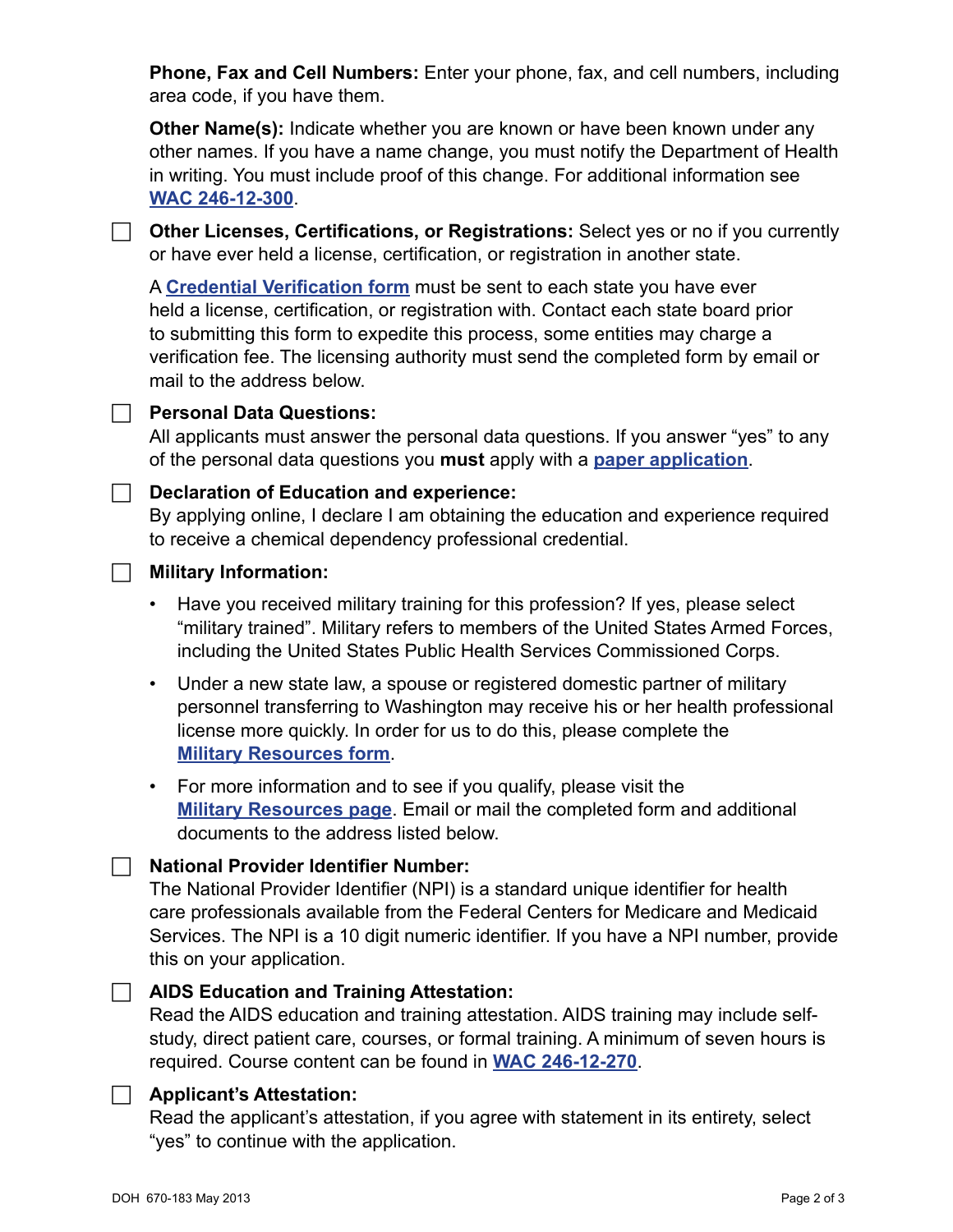**Phone, Fax and Cell Numbers:** Enter your phone, fax, and cell numbers, including area code, if you have them.

**Other Name(s):** Indicate whether you are known or have been known under any other names. If you have a name change, you must notify the Department of Health in writing. You must include proof of this change. For additional information see **[WAC 246-12-300](http://apps.leg.wa.gov/wac/default.aspx?cite=246-12-300)**.

**F** Other Licenses, Certifications, or Registrations: Select yes or no if you currently or have ever held a license, certification, or registration in another state.

A **Credential [Verification](http://www.doh.wa.gov/portals/1/Documents/Pubs/670062.pdf) form** must be sent to each state you have ever held a license, certification, or registration with. Contact each state board prior to submitting this form to expedite this process, some entities may charge a verification fee. The licensing authority must send the completed form by email or mail to the address below.

#### **Personal Data Questions:**

All applicants must answer the personal data questions. If you answer "yes" to any of the personal data questions you **must** apply with a **[paper application](http://www.doh.wa.gov/portals/1/Documents/Pubs/670093.pdf)**.

#### **E. Declaration of Education and experience:**

By applying online, I declare I am obtaining the education and experience required to receive a chemical dependency professional credential.

#### **F** Military Information:

- Have you received military training for this profession? If yes, please select "military trained". Military refers to members of the United States Armed Forces, including the United States Public Health Services Commissioned Corps.
- Under a new state law, a spouse or registered domestic partner of military personnel transferring to Washington may receive his or her health professional license more quickly. In order for us to do this, please complete the **Military [Resources](http://www.doh.wa.gov/Portals/1/Documents/Pubs/600067.pdf) form**.
- For more information and to see if you qualify, please visit the **Military [Resources](http://www.doh.wa.gov/LicensesPermitsandCertificates/ProfessionsNewReneworUpdate/MilitaryResources.aspx) page**. Email or mail the completed form and additional documents to the address listed below.

#### F **National Provider Identifier Number:**

The National Provider Identifier (NPI) is a standard unique identifier for health care professionals available from the Federal Centers for Medicare and Medicaid Services. The NPI is a 10 digit numeric identifier. If you have a NPI number, provide this on your application.

#### **F** AIDS Education and Training Attestation:

Read the AIDS education and training attestation. AIDS training may include selfstudy, direct patient care, courses, or formal training. A minimum of seven hours is required. Course content can be found in **[WAC 246-12-270](http://apps.leg.wa.gov/WAC/default.aspx?cite=246-12-270)**.

#### F **Applicant's Attestation:**

Read the applicant's attestation, if you agree with statement in its entirety, select "yes" to continue with the application.